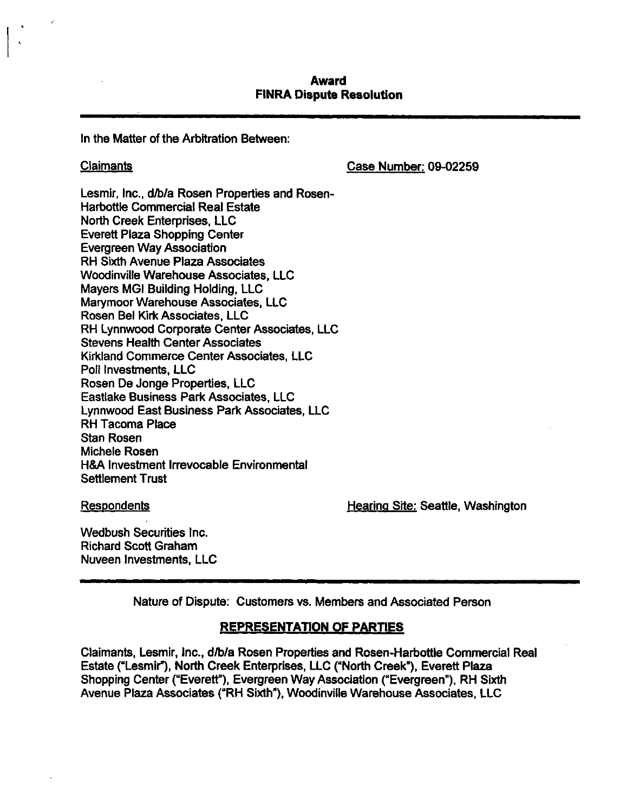# **Award FINRA Dispute Resolution**

In the Matter of the Arbitration Between:

Claimants Case Number: 09-02259

Lesmir. Inc., d/b/a Rosen Properties and Rosen-Harbottle Commercial Real Estate North Creek Enterprises, LLC Everett Plaza Shopping Center Evergreen Way Association RH Sixth Avenue Plaza Associates Woodinville Warehouse Associates, LLC Mayers MGI Building Holding, LLC Marymoor Warehouse Associates, LLC Rosen Bel Kirk Associates, LLC RH Lynnwood Corporate Center Associates, LLC Stevens Health Center Associates Kirkiand Commerce Center Associates, LLC Poll Investments, LLC Rosen De Jonge Properties, LLC Eastlake Business Park Associates, LLC Lynnwood East Business Park Associates, LLC RH Tacoma Place Stan Rosen Michele Rosen H&A Investment Irrevocable Environmental Settlement Trust

Respondents Hearina Site: Seattle, Washington

Wedbush Securities Inc. Richard Scott Graham Nuveen Investments, LLC

Nature of Dispute: Customers vs. Members and Associated Person

# **REPRESENTATiON OF PARTIES**

Claimants, Lesmir, Inc., d/b/a Rosen Properties and Rosen-Harbottle Commercial Real Estate ("Lesmir"), North Creek Enterprises, LLC ("North Creek"), Everett Plaza Shopping Center ("Everett"), Evergreen Way Association ("Evergreen"), RH Sixth Avenue Plaza Associates ("RH Sixth"), Woodinville Warehouse Associates, LLC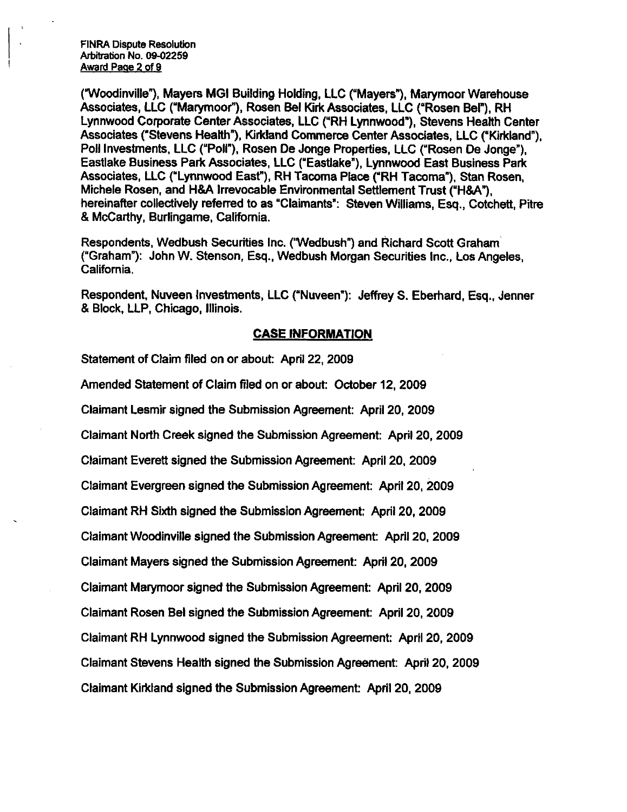FINRA Dispute Resolution Arbitration No. 09-02259 Award Page 2 of 9

("Woodinville"), Mayers MGI Building Holding, LLC ("Mayers"), Marymoor Warehouse Associates, LLC ("Marymoor"), Rosen Bel Kirk Associates, LLC ("Rosen Bel"), RH Lynnwood Corporate Center Associates, LLC ("RH Lynnwood"), Stevens Health Center Associates ("Stevens Health"), Kirkland Commerce Center Associates, LLC ("Kirkland"), Poll Investments. LLC ("Poll"), Rosen De Jonge Properties, LLC ("Rosen De Jonge"), Eastiake Business Park Associates, LLC ("Eastiake"), Lynnwood East Business Park Associates, LLC ("Lynnwood East"), RH Tacoma Place ("RH Tacoma"), Stan Rosen, Michele Rosen, and H&A Irrevocable Environmental Settlement Trust ("H&A"), hereinafter collectively referred to as "Claimants": Steven Williams, Esq., Cotchett, Pitre & McCarthy, Burlingame, California.

Respondents, Wedbush Securities Inc. ("Wedbush") and Richard Scott Graham ("Graham"): John W. Stenson, Esq., Wedbush Morgan Securities Inc., Los Angeles, California.

Respondent, Nuveen Investments, LLC ("Nuveen"): Jeffrey S. Eberhard, Esq., Jenner & Block, LLP, Chicago, Illinois.

#### **CASE INFORMATION**

Statement of Claim filed on or about: April 22, 2009

Amended Statement of Claim filed on or about: October 12, 2009

Claimant Lesmir signed the Submission Agreement: April 20, 2009

Claimant North Creek signed the Submission Agreement: April 20, 2009

Claimant Everett signed the Submission Agreement: April 20, 2009

Claimant Evergreen signed the Submission Agreement: April 20, 2009

Ciaimant RH Sixth signed the Submission Agreement: April 20, 2009

Claimant Woodinville signed the Submission Agreement: April 20, 2009

Ciaimant Mayers signed the Submission Agreement: April 20. 2009

Claimant Marymoor signed the Submission Agreement: April 20, 2009

Claimant Rosen Bel signed the Submission Agreement: April 20, 2009

Claimant RH Lynnwood signed the Submission Agreement: April 20, 2009

Claimant Stevens Health signed the Submission Agreement: April 20, 2009

Claimant Kirkland signed the Submission Agreement: April 20, 2009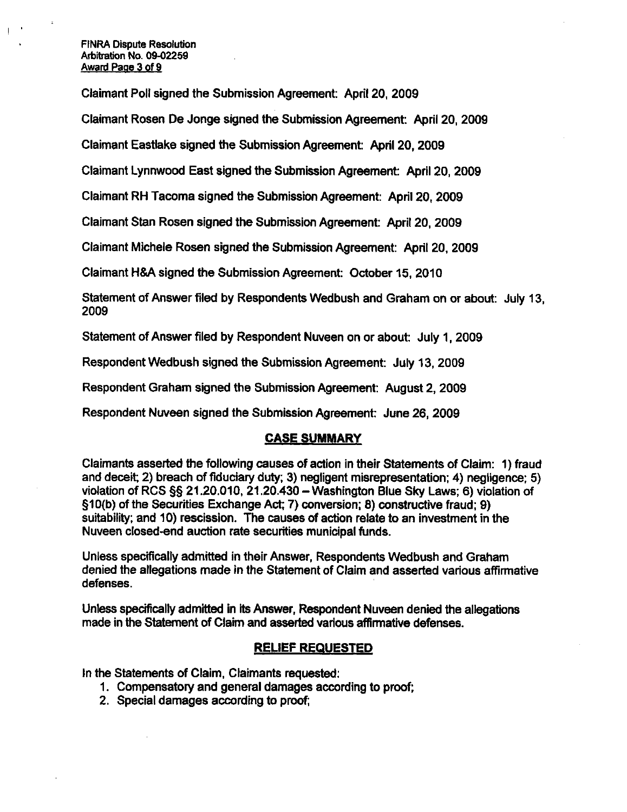#### FINRA Dispute Resolution Arbitration No. 09-02259 Award Page 3 of 9

Claimant Poll signed the Submission Agreement: April 20, 2009

Claimant Rosen De Jonge signed the Submission Agreement: April 20. 2009

Claimant Eastiake signed the Submission Agreement: April 20, 2009

Claimant Lynnwood East signed the Submission Agreement: April 20, 2009

Claimant RH Tacoma signed the Submission Agreement: April 20, 2009

Claimant Stan Rosen signed the Submission Agreement: April 20, 2009

Claimant Michele Rosen signed the Submission Agreement: April 20, 2009

Claimant H&A signed the Submission Agreement: October 15, 2010

Statement of Answer filed by Respondents Wedbush and Graham on or about: July 13, 2009

Statement of Answer filed by Respondent Nuveen on or about: July 1, 2009

Respondent Wedbush signed the Submission Agreement: July 13,2009

Respondent Graham signed the Submission Agreement: August 2, 2009

Respondent Nuveen signed the Submission Agreement: June 26, 2009

#### **CASE SUMMARY**

Claimants asserted the following causes of action in their Statements of Claim: 1) fraud and deceit; 2) breach of fiduciary duty; 3) negligent misrepresentation; 4) negligence; 5) violation of RCS  $\S$ § 21.20.010, 21.20.430 - Washington Blue Sky Laws; 6) violation of §10(b) of the Securities Exchange Act; 7) conversion; 8) constructive fraud; 9) suitability; and 10) rescission. The causes of action relate to an investment in the Nuveen closed-end auction rate securities municipal funds.

Unless specifically admitted in their Answer, Respondents Wedbush and Graham denied the allegations made in the Statement of Claim and asserted various affinnative defenses.

Unless specifically admitted in its Answer, Respondent Nuveen denied the allegations made in the Statement of Claim and asserted various affirmative defenses.

## **RELIEF REQUESTED**

In the Statements of Claim, Claimants requested:

- 1. Compensatory and general damages according to proof;
- 2. Special damages according to proof;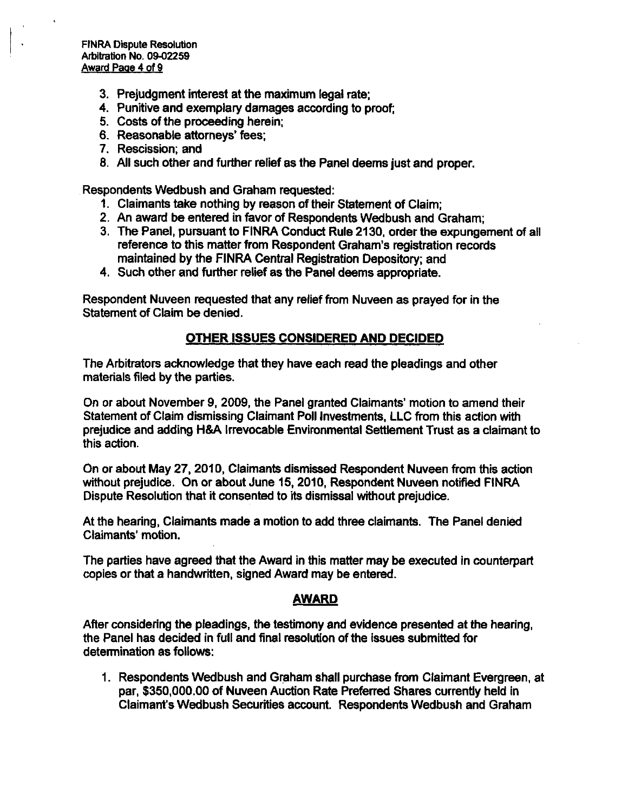- 3. Prejudgment interest at the maximum legal rate;
- 4. Punitive and exemplary damages according to proof;
- 5. Costs of the proceeding herein;
- 6. Reasonable attorneys' fees;
- 7. Rescission; and
- 8. All such other and further relief as the Panel deems just and proper.

Respondents Wedbush and Graham requested:

- 1. Claimants take nothing by reason of their Statement of Claim;
- 2. An award be entered in favor of Respondents Wedbush and Graham;
- 3. The Panel, pursuant to FINRA Conduct Rule 2130, order the expungement of all reference to this matter from Respondent Graham's registration records maintained by the FINRA Central Registration Depository; and
- 4. Such other and further relief as the Panel deems appropriate.

Respondent Nuveen requested that any relief from Nuveen as prayed for in the Statement of Claim be denied.

# **OTHER ISSUES CONSIDERED AND DECIDED**

The Arbitrators acknowledge that they have each read the pleadings and other materials filed by the parties.

On or about November 9, 2009, the Panel granted Claimants' motion to amend their Statement of Claim dismissing Claimant Poll Investments, LLC from this action with prejudice and adding H&A Irrevocable Environmental Settlement Trust as a claimant to this action.

On or about May 27,2010, Claimants dismissed Respondent Nuveen from this action without prejudice. On or about June 15, 2010, Respondent Nuveen notified FINRA Dispute Resolution that it consented to its dismissal without prejudice.

At the hearing. Claimants made a motion to add three claimants. The Panel denied Claimants' motion.

The parties have agreed that the Award in this matter may be executed in counterpart copies or that a handwritten, signed Award may be entered.

# **AWARD**

After considering the pleadings, the testimony and evidence presented at the hearing, the Panel has decided in full and final resolution of the issues submitted for detemnination as follows:

1. Respondents Wedbush and Graham shall purchase from Claimant Evergreen, at par, \$350,000.00 of Nuveen Auction Rate Preferred Shares currently held in Claimant's Wedbush Securities account. Respondents Wedbush and Graham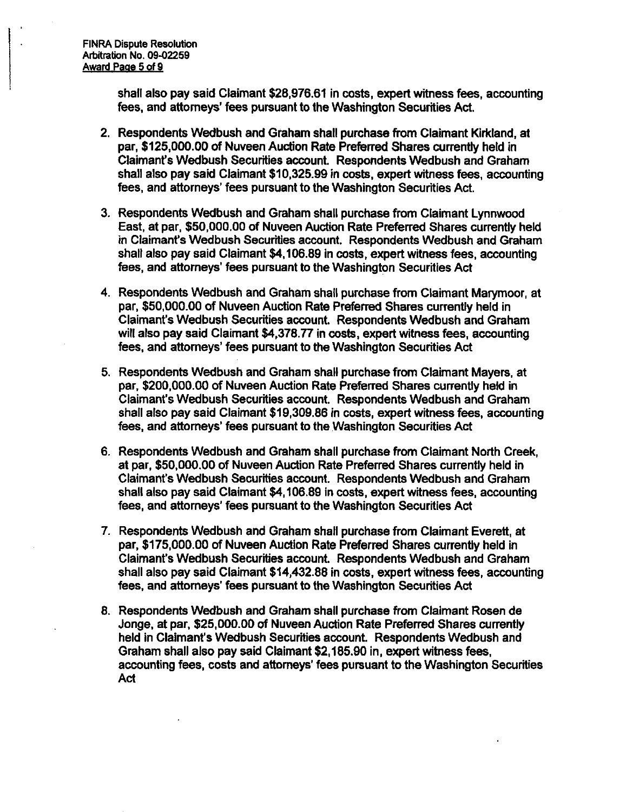**shall also pay said Claimant \$28,976.61 in costs, expert witness fees, accounting fees, and attorneys' fees pursuant to the Washington Securities Act.** 

- **2. Respondents Wedbush and Graham shall purchase from Claimant Kiridand, at par, \$125,000.00 of Nuveen Auction Rate Preferred Shares currently held in**  Claimant's Wedbush Securities account. Respondents Wedbush and Graham **shall also pay said Claimant \$10,325.99 in costs, expert witness fees, accounting fees, and attorneys' fees pursuant to the Washington Securities Act.**
- **3. Respondents Wedbush and Graham shall purchase from Claimant Lynnwood East, at par, \$50,000.00 of Nuveen Auction Rate Preferred Shares currently held in Claimanf s Wedbush Securities account. Respondents Wedbush and Graham shall also pay said Claimant \$4,106.89 in costs, expert witness fees, accounting fees, and attorneys' fees pursuant to the Washington Securities Act**
- **4. Respondents Wedbush and Graham shall purchase from Claimant Marymoor, at par. \$50,000.00 of Nuveen Auction Rate Preferred Shares currently held in Claimant's Wedbush Securities account. Respondents Wedbush and Graham will also pay said Claimant \$4,378.77 in costs, expert witness fees, accounting fees, and attorneys' fees pursuant to the Washington Securities Act**
- **5. Respondents Wedbush and Graham shall purchase from Claimant Mayers, at par, \$200,000.00 of Nuveen Auction Rate Preferred Shares currently held in Claimant's Wedbush Securities account. Respondents Wedbush and Graham shall also pay said Claimant \$19,309.86 in costs, expert witness fees, accounting fees, and attorneys' fees pursuant to the Washington Securities Act**
- **6. Respondents Wedbush and Graham shall purchase from Claimant North Creek, at par, \$50,000.00 of Nuveen Auction Rate Preferred Shares currently held in Claimant's Wedbush Securities account. Respondents Wedbush and Graham shall also pay said Claimant \$4,106.89 in costs, expert witness fees, accounting fees, and attorneys' fees pursuant to the Washington Securities Act**
- **7. Respondents Wedbush and Graham shall purchase from Claimant Everett, at par, \$175,000.00 of Nuveen Auction Rate Preferred Shares currently held in Claimant's Wedbush Securities account. Respondents Wedbush and Graham shall also pay said Claimant \$14,432.88 in costs, expert witness fees, accounting fees, and attorneys' fees pursuant to the Washington Securities Act**
- **8. Respondents Wedbush and Graham shall purchase from Claimant Rosen de Jonge, at par, \$25,000.00 of Nuveen Auction Rate Preferred Shares currently held in Claimant's Wedbush Securities account. Respondents Wedbush and Graham shall also pay said Claimant \$2,185.90 in, expert witness fees, accounting fees, costs and attorneys' fees pursuant to the Washington Securities Act**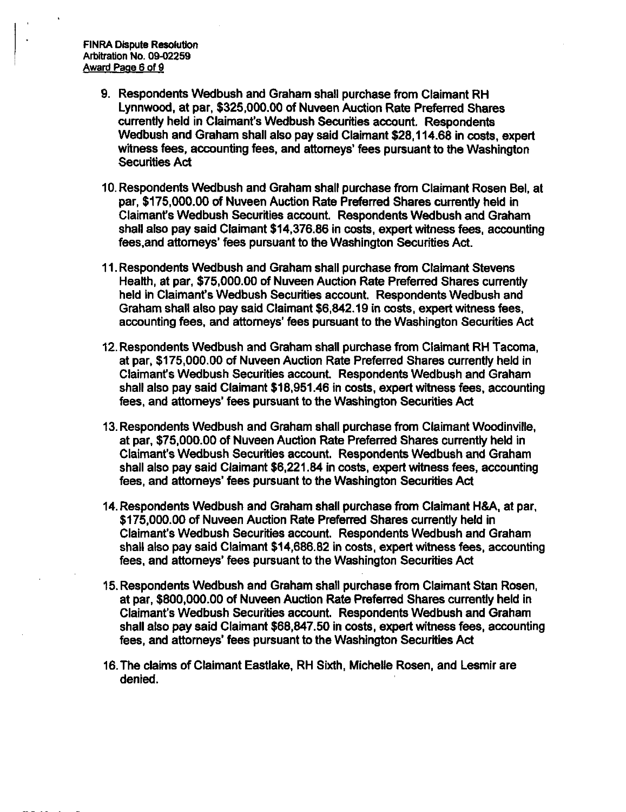- **9. Respondents Wedbush and Graham shall purchase from Claimant RH Lynnwood, at par, \$325,000.00 of Nuveen Auction Rate Preferred Shares currently held in Claimant's Wedbush Securities account. Respondents Wedbush and Graham shall also pay said Claimant \$28,114.68 in costs, expert witness fees, accounting fees, and attorneys' fees pursuant to the Washington Securities Act**
- **10. Respondents Wedbush and Graham shall purchase from Claimant Rosen Bel, at par, \$175,000.00 of Nuveen Auction Rate Preferred Shares currently held in Claimant's Wedbush Securities account. Respondents Wedbush and Graham shall also pay said Ciaimant \$14,376.86 in costs, expert witness fees, accounting fees,and attorneys' fees pursuant to the Washington Securities Act.**
- **11. Respondents Wedbush and Graham shall purchase from Claimant Stevens Health, at par, \$75,000.00 of Nuveen Auction Rate Preferred Shares currently held in Claimant's Wedbush Securities account. Respondents Wedbush and Graham shall also pay said Claimant \$6,842.19 in costs, expert witness fees, accounting fees, and attorneys' fees pursuant to the Washington Securities Act**
- **12. Respondents Wedbush and Graham shall purchase from Claimant RH Tacoma, at par, \$175,000.00 of Nuveen Auction Rate Preferred Shares currently held in Claimant's Wedbush Securities account Respondents Wedbush and Graham shall also pay said Claimant \$18,951.46 in costs, expert witness fees, accounting fees, and attomeys' fees pursuant to the Washington Securities Act**
- **13. Respondents Wedbush and Graham shall purchase from Claimant Woodinville. at par. \$75,000.00 of Nuveen Auction Rate Preferred Shares currently held in Claimant's Wedbush Securities account. Respondents Wedbush and Graham shall also pay said Claimant \$6,221.84 in costs, expert witness fees, accounting fees, and attorneys' fees pursuant to the Washington Securities Act**
- **14. Respondents Wedbush and Graham shall purchase from Claimant H&A, at par, \$175,000.00 of Nuveen Auction Rate Preferred Shares currently held in Claimant's Wedbush Securities account. Respondents Wedbush and Graham shall also pay said Claimant \$14,686.82 in costs, expert witness fees, accounting fees, and attorneys' fees pursuant to the Washington Securities Act**
- **15. Respondents Wedbush and Graham shall purchase from Claimant Stan Rosen, at par, \$800,000.00 of Nuveen Auction Rate Preferred Shares currently held in Claimant's Wedbush Securities account. Respondents Wedbush and Graham shall also pay said Claimant \$68,847.50 in costs, expert witness fees, accounting fees, and attorneys' fees pursuant to the Washington Securities Act**
- **16. The claims of Claimant Eastiake, RH Sixth, Michelle Rosen, and Lesmir are denied.**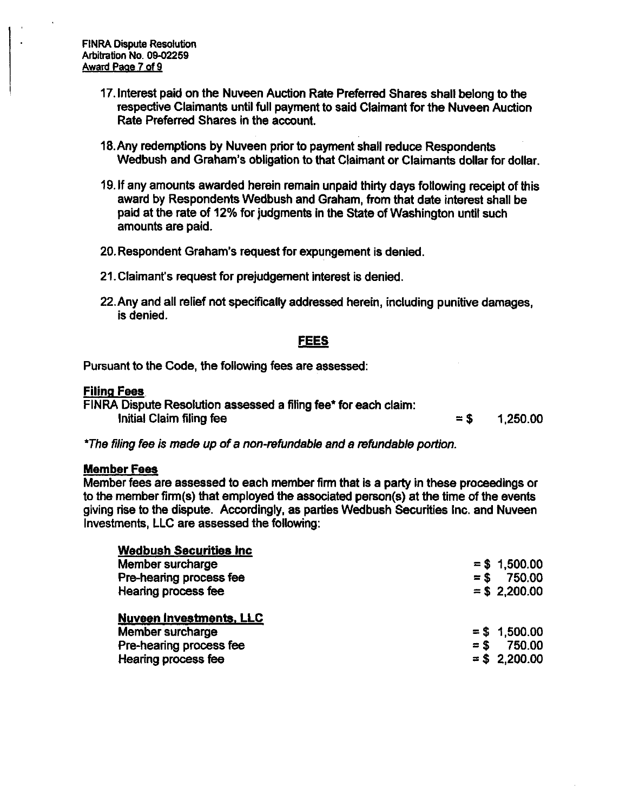- 17. Interest paid on the Nuveen Auction Rate Preferred Shares shall belong to the respective Claimants until full payment to said Claimant for the Nuveen Auction Rate Preferred Shares in the account.
- 18. Any redemptions by Nuveen prior to payment shall reduce Respondents Wedbush and Graham's obligation to that Claimant or Claimants dollar for dollar.
- 19. If any amounts awarded herein remain unpaid thirty days following receipt of this award by Respondents Wedbush and Graham, from that date interest shall be paid at the rate of 12% for judgments in the State of Washington until such amounts are paid.
- 20. Respondent Graham's request for expungement is denied.
- 21. Claimant's request for prejudgement interest is denied.
- 22. Any and ail relief not specifically addressed herein, including punitive damages, is denied.

# **FEES**

**Pursuant to the Code, the following fees are assessed:** 

## **Filing Fees**

FiNRA Dispute Resolution assessed a filing fee\* for each claim: Initial Claim filing fee  $= $$  1,250.00

\*The filing fee is made up of a non-refundable and a refundable portion.

## **Member Fees**

Member fees are assessed to each member firm that is a party in these proceedings or to the member firm(s) that employed the associated person(s) at the time of the events giving rise to the dispute. Accordingly, as parties Wedbush Securities Inc. and Nuveen investments, LLC are assessed the following:

| <b>Wedbush Securities Inc.</b> |                  |
|--------------------------------|------------------|
| Member surcharge               | $= $1,500.00$    |
| Pre-hearing process fee        | 750.00<br>$=$ \$ |
| Hearing process fee            | $=$ \$ 2,200.00  |
| <b>Nuveen Investments, LLC</b> |                  |
| Member surcharge               | $= $ 1.500.00$   |
| Pre-hearing process fee        | 750.00<br>$=$ \$ |
| Hearing process fee            | $= $ 2,200.00$   |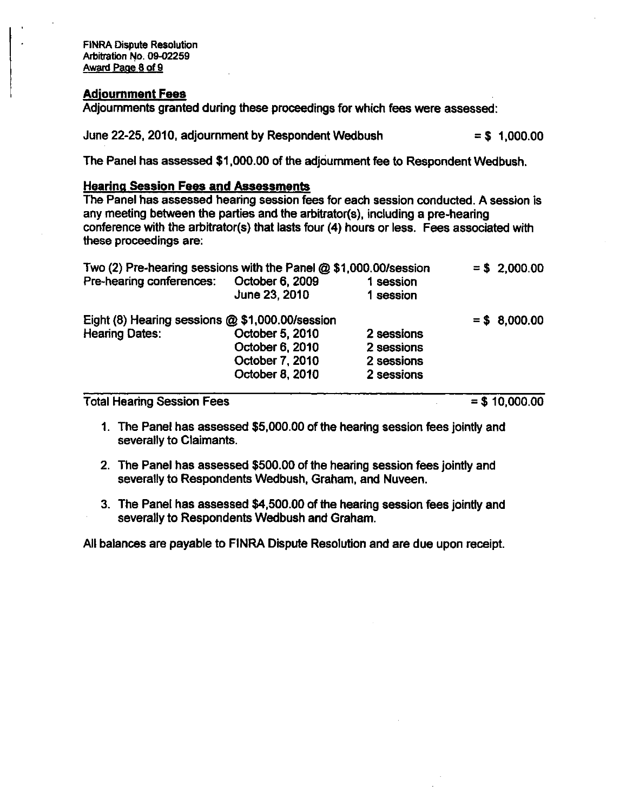FINRA Dispute Resolution Arbitration No. 09-02259 Award Page 8 of 9

### **Adjournment Fees**

these proceedings are:

 $\mathcal{A}$  and  $\mathcal{A}$  are proceedings for which fees were assessed:

June 22-25, 2010, adjournment by Respondent Wedbush  $= $ 1,000.00$ 

The Panel has assessed \$1,000.00 of the adjournment fee to Respondent Wedbush.

**Hearing Session Fees and Assessments**  any meeting between the parties and the arbitrator(s), including a pre-hearing conference with the arbitrator(s) that lasts four (4) hours or less. Fees associated with these proceedings are:

| Two (2) Pre-hearing sessions with the Panel @ \$1,000.00/session |                                  |                        | $= $ 2,000.00$ |
|------------------------------------------------------------------|----------------------------------|------------------------|----------------|
| Pre-hearing conferences:                                         | October 6, 2009<br>June 23, 2010 | 1 session<br>1 session |                |
| Eight (8) Hearing sessions @ \$1,000.00/session                  |                                  |                        | $= $8,000.00$  |
| <b>Hearing Dates:</b>                                            | October 5, 2010                  | 2 sessions             |                |
|                                                                  | October 6, 2010                  | 2 sessions             |                |
|                                                                  | October 7, 2010                  | 2 sessions             |                |
|                                                                  | October 8, 2010                  | 2 sessions             |                |

Total Hearing Session Fees  $= $10,000.00$ 

- 1. The Panel has assessed \$5,000.00 of the hearing session fees jointly and severally to Claimants.
- 2. The Panel has assessed \$500.00 of the hearing session fees jointly and severally to Respondents Wedbush. Graham, and Nuveen.
- 3. The Panel has assessed \$4,500.00 of the hearing session fees jointly and severally to Respondents Wedbush and Graham.

All balances are payable to FINRA Dispute Resolution and are due upon receipt.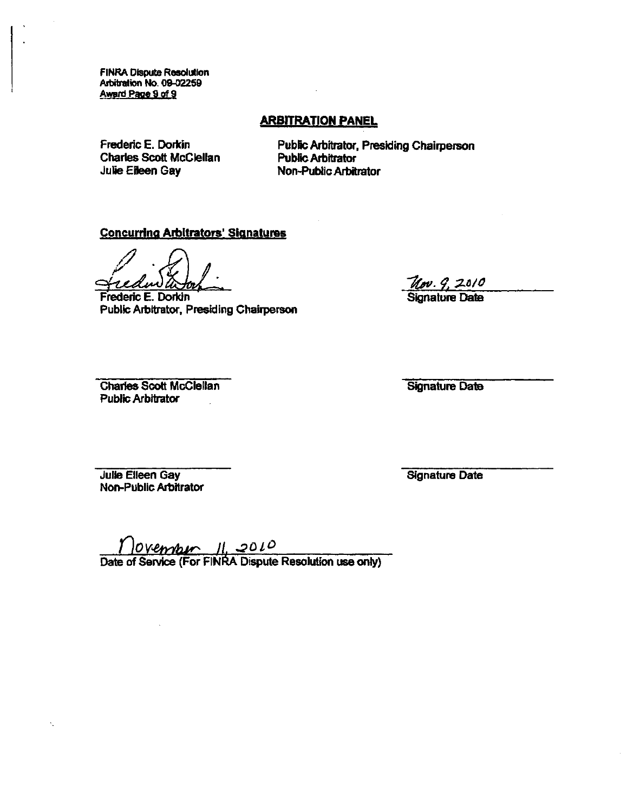FiNRA Dispute Resolution Arbitration No. 09-02259 Award Page 9 of 9

# **ARBITRATION PANEL**

Frederic E. Dorkin Charles Scott McClelian Julie Eileen Gay

Public Arbitrator, Presiding Chairperson Public Arbitrator Non-Public Arbitrator

## Concurring Arbitrators' Signatures

Frederic E. Dorkin Public Arbitrator, Presiding Chairperson

<u>Nov. 9, 2010</u>

Signature Date

Charles Scott McClelian Public Arbitrator

Signature Date

Julie Eileen Gay Non-Public Arbitrator Signature Date

**IDOVEMBLA II, 2010**<br>Date of Service (For FINRA Dispute Resolution use only)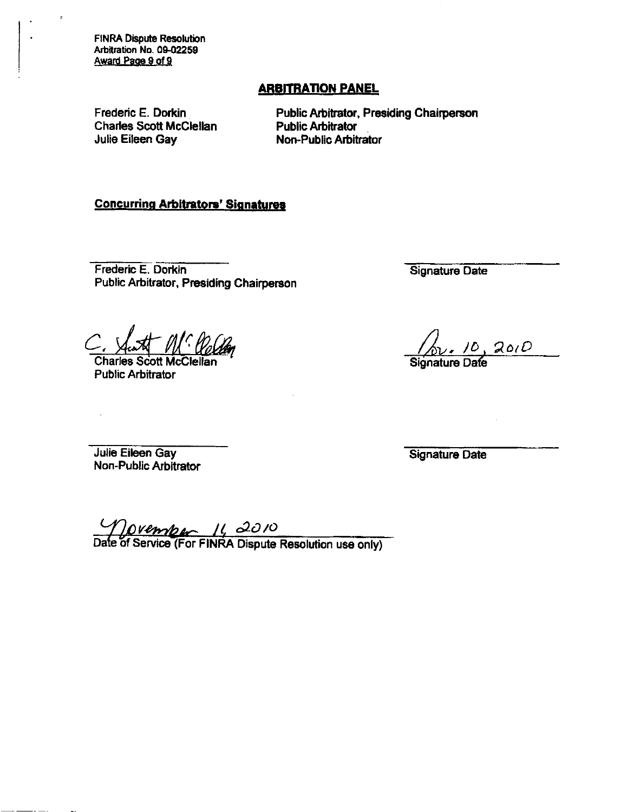FINRA Dispute Resolution Arbitration No. 09-02259 Award Paoe 9 of 9

## **ARBITRATION PANEL**

Frederic E. Dorkin Charies Scott McClelian Julie Eileen Gay

Public Arbitrator, Presiding Chairperson **Public Arbitrator** Non-Public Arbitrator

### Concurring Arbitrators' Signatures

Frederic E. Dorkin Public Arbitrator, Presiding Chairperson

MC Po

Charles Scott McClelian **Public Arbitrator** 

Signature Date

 $\sqrt{\frac{\rho}{\text{Signature Date}}}$ 

Julie Eileen Gay Non-Public Arbitrator

Signature Date

Movember 11, 2010<br>Date of Service (For FINRA Dispute Resolution use only)